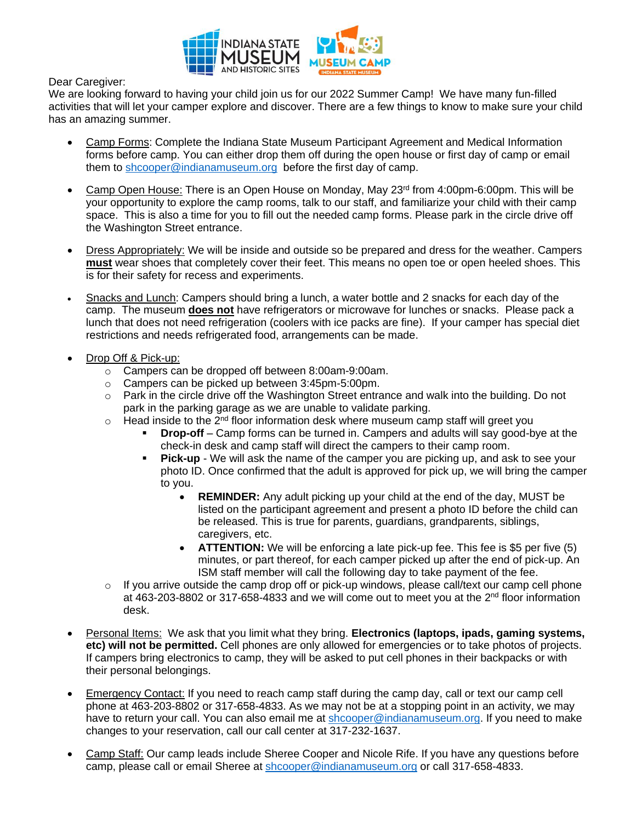

Dear Caregiver:

We are looking forward to having your child join us for our 2022 Summer Camp! We have many fun-filled activities that will let your camper explore and discover. There are a few things to know to make sure your child has an amazing summer.

- Camp Forms: Complete the Indiana State Museum Participant Agreement and Medical Information forms before camp. You can either drop them off during the open house or first day of camp or email them to [shcooper@indianamuseum.org](mailto:shcooper@indianamuseum.org) before the first day of camp.
- Camp Open House: There is an Open House on Monday, May 23rd from 4:00pm-6:00pm. This will be your opportunity to explore the camp rooms, talk to our staff, and familiarize your child with their camp space. This is also a time for you to fill out the needed camp forms. Please park in the circle drive off the Washington Street entrance.
- Dress Appropriately: We will be inside and outside so be prepared and dress for the weather. Campers **must** wear shoes that completely cover their feet. This means no open toe or open heeled shoes. This is for their safety for recess and experiments.
- Snacks and Lunch: Campers should bring a lunch, a water bottle and 2 snacks for each day of the camp. The museum **does not** have refrigerators or microwave for lunches or snacks. Please pack a lunch that does not need refrigeration (coolers with ice packs are fine). If your camper has special diet restrictions and needs refrigerated food, arrangements can be made.
- Drop Off & Pick-up:
	- o Campers can be dropped off between 8:00am-9:00am.
	- o Campers can be picked up between 3:45pm-5:00pm.
	- $\circ$  Park in the circle drive off the Washington Street entrance and walk into the building. Do not park in the parking garage as we are unable to validate parking.
	- $\circ$  Head inside to the 2<sup>nd</sup> floor information desk where museum camp staff will greet you
		- **Drop-off** Camp forms can be turned in. Campers and adults will say good-bye at the check-in desk and camp staff will direct the campers to their camp room.
		- **Pick-up** We will ask the name of the camper you are picking up, and ask to see your photo ID. Once confirmed that the adult is approved for pick up, we will bring the camper to you.
			- **REMINDER:** Any adult picking up your child at the end of the day, MUST be listed on the participant agreement and present a photo ID before the child can be released. This is true for parents, guardians, grandparents, siblings, caregivers, etc.
			- **ATTENTION:** We will be enforcing a late pick-up fee. This fee is \$5 per five (5) minutes, or part thereof, for each camper picked up after the end of pick-up. An ISM staff member will call the following day to take payment of the fee.
	- $\circ$  If you arrive outside the camp drop off or pick-up windows, please call/text our camp cell phone at 463-203-8802 or 317-658-4833 and we will come out to meet you at the  $2^{nd}$  floor information desk.
- Personal Items: We ask that you limit what they bring. **Electronics (laptops, ipads, gaming systems, etc) will not be permitted.** Cell phones are only allowed for emergencies or to take photos of projects. If campers bring electronics to camp, they will be asked to put cell phones in their backpacks or with their personal belongings.
- **Emergency Contact:** If you need to reach camp staff during the camp day, call or text our camp cell phone at 463-203-8802 or 317-658-4833. As we may not be at a stopping point in an activity, we may have to return your call. You can also email me at [shcooper@indianamuseum.org.](mailto:shcooper@indianamuseum.org) If you need to make changes to your reservation, call our call center at 317-232-1637.
- Camp Staff: Our camp leads include Sheree Cooper and Nicole Rife. If you have any questions before camp, please call or email Sheree at [shcooper@indianamuseum.org](mailto:shcooper@indianamuseum.org) or call 317-658-4833.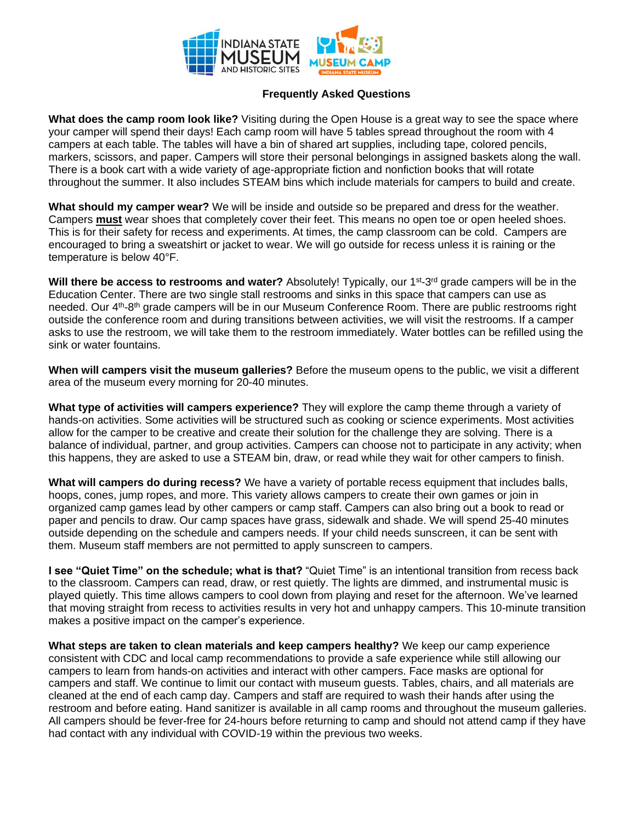

## **Frequently Asked Questions**

**What does the camp room look like?** Visiting during the Open House is a great way to see the space where your camper will spend their days! Each camp room will have 5 tables spread throughout the room with 4 campers at each table. The tables will have a bin of shared art supplies, including tape, colored pencils, markers, scissors, and paper. Campers will store their personal belongings in assigned baskets along the wall. There is a book cart with a wide variety of age-appropriate fiction and nonfiction books that will rotate throughout the summer. It also includes STEAM bins which include materials for campers to build and create.

**What should my camper wear?** We will be inside and outside so be prepared and dress for the weather. Campers **must** wear shoes that completely cover their feet. This means no open toe or open heeled shoes. This is for their safety for recess and experiments. At times, the camp classroom can be cold. Campers are encouraged to bring a sweatshirt or jacket to wear. We will go outside for recess unless it is raining or the temperature is below 40°F.

Will there be access to restrooms and water? Absolutely! Typically, our 1<sup>st</sup>-3<sup>rd</sup> grade campers will be in the Education Center. There are two single stall restrooms and sinks in this space that campers can use as needed. Our 4<sup>th</sup>-8<sup>th</sup> grade campers will be in our Museum Conference Room. There are public restrooms right outside the conference room and during transitions between activities, we will visit the restrooms. If a camper asks to use the restroom, we will take them to the restroom immediately. Water bottles can be refilled using the sink or water fountains.

**When will campers visit the museum galleries?** Before the museum opens to the public, we visit a different area of the museum every morning for 20-40 minutes.

**What type of activities will campers experience?** They will explore the camp theme through a variety of hands-on activities. Some activities will be structured such as cooking or science experiments. Most activities allow for the camper to be creative and create their solution for the challenge they are solving. There is a balance of individual, partner, and group activities. Campers can choose not to participate in any activity; when this happens, they are asked to use a STEAM bin, draw, or read while they wait for other campers to finish.

**What will campers do during recess?** We have a variety of portable recess equipment that includes balls, hoops, cones, jump ropes, and more. This variety allows campers to create their own games or join in organized camp games lead by other campers or camp staff. Campers can also bring out a book to read or paper and pencils to draw. Our camp spaces have grass, sidewalk and shade. We will spend 25-40 minutes outside depending on the schedule and campers needs. If your child needs sunscreen, it can be sent with them. Museum staff members are not permitted to apply sunscreen to campers.

**I see "Quiet Time" on the schedule; what is that?** "Quiet Time" is an intentional transition from recess back to the classroom. Campers can read, draw, or rest quietly. The lights are dimmed, and instrumental music is played quietly. This time allows campers to cool down from playing and reset for the afternoon. We've learned that moving straight from recess to activities results in very hot and unhappy campers. This 10-minute transition makes a positive impact on the camper's experience.

**What steps are taken to clean materials and keep campers healthy?** We keep our camp experience consistent with CDC and local camp recommendations to provide a safe experience while still allowing our campers to learn from hands-on activities and interact with other campers. Face masks are optional for campers and staff. We continue to limit our contact with museum guests. Tables, chairs, and all materials are cleaned at the end of each camp day. Campers and staff are required to wash their hands after using the restroom and before eating. Hand sanitizer is available in all camp rooms and throughout the museum galleries. All campers should be fever-free for 24-hours before returning to camp and should not attend camp if they have had contact with any individual with COVID-19 within the previous two weeks.